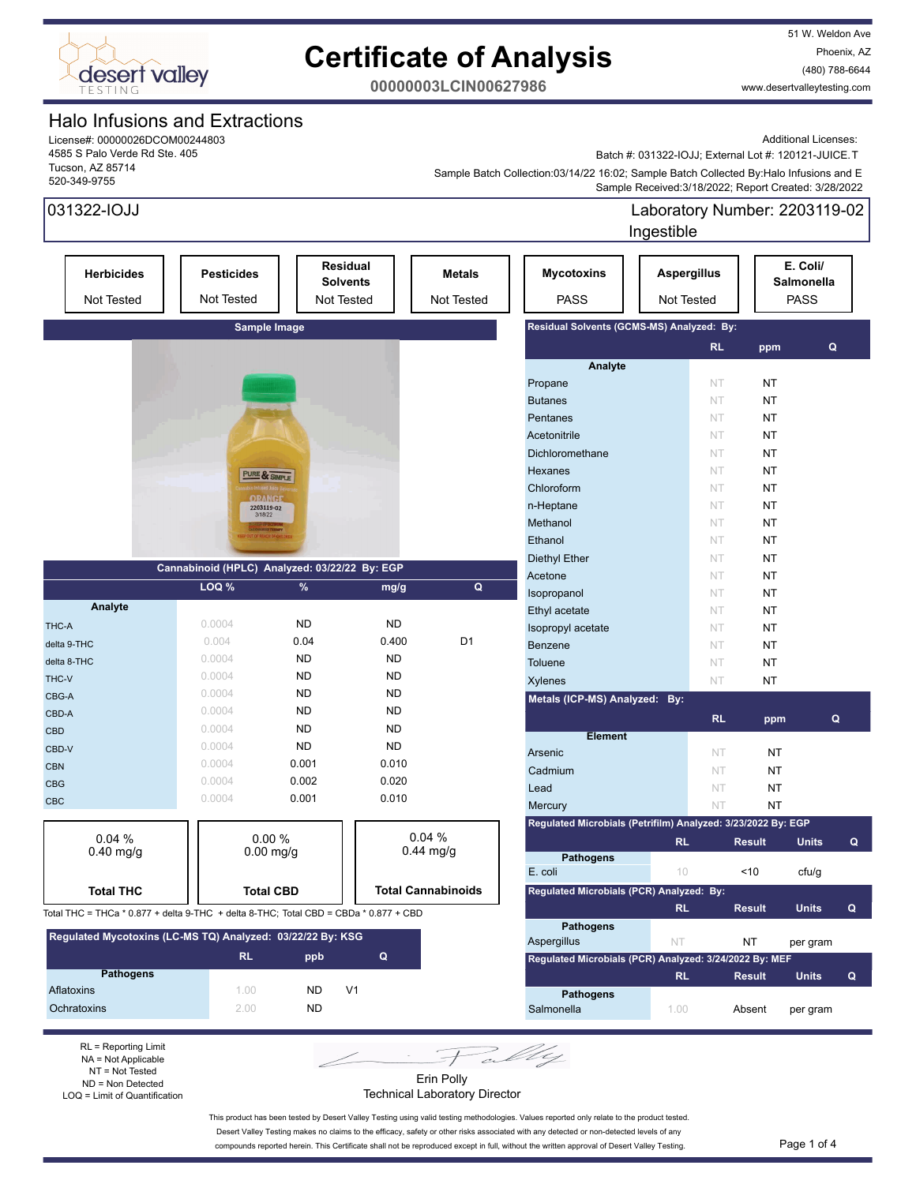

51 W. Weldon Ave Phoenix, AZ (480) 788-6644 www.desertvalleytesting.com

**00000003LCIN00627986**

### Halo Infusions and Extractions

License#: 00000026DCOM00244803 4585 S Palo Verde Rd Ste. 405 Tucson, AZ 85714 520-349-9755

Additional Licenses:

Batch #: 031322-IOJJ; External Lot #: 120121-JUICE.T

 Sample Received:3/18/2022; Report Created: 3/28/2022 Sample Batch Collection:03/14/22 16:02; Sample Batch Collected By:Halo Infusions and E

| 031322-IOJJ                                                                          |                                               |           |                                           |                             |                                                              | Laboratory Number: 2203119-02<br>Ingestible |                        |                                       |             |
|--------------------------------------------------------------------------------------|-----------------------------------------------|-----------|-------------------------------------------|-----------------------------|--------------------------------------------------------------|---------------------------------------------|------------------------|---------------------------------------|-------------|
| <b>Herbicides</b><br><b>Not Tested</b>                                               | <b>Pesticides</b><br>Not Tested               |           | Residual<br><b>Solvents</b><br>Not Tested | <b>Metals</b><br>Not Tested | <b>Mycotoxins</b><br><b>PASS</b>                             | <b>Aspergillus</b><br>Not Tested            |                        | E. Coli/<br>Salmonella<br><b>PASS</b> |             |
|                                                                                      | Sample Image                                  |           |                                           |                             | Residual Solvents (GCMS-MS) Analyzed: By:                    |                                             |                        |                                       |             |
|                                                                                      |                                               |           |                                           |                             |                                                              |                                             | <b>RL</b><br>ppm       |                                       | $\mathbf Q$ |
|                                                                                      |                                               |           |                                           |                             | Analyte                                                      |                                             |                        |                                       |             |
|                                                                                      |                                               |           |                                           |                             | Propane                                                      |                                             | NT<br><b>NT</b>        |                                       |             |
|                                                                                      |                                               |           |                                           |                             | <b>Butanes</b>                                               |                                             | NT<br><b>NT</b>        |                                       |             |
|                                                                                      |                                               |           |                                           |                             | Pentanes                                                     |                                             | <b>NT</b><br>NT        |                                       |             |
|                                                                                      |                                               |           |                                           |                             | Acetonitrile                                                 |                                             | <b>NT</b><br><b>NT</b> |                                       |             |
|                                                                                      |                                               |           |                                           |                             | Dichloromethane                                              |                                             | <b>NT</b><br><b>NT</b> |                                       |             |
|                                                                                      |                                               |           |                                           |                             | Hexanes                                                      |                                             | <b>NT</b><br><b>NT</b> |                                       |             |
|                                                                                      | PURE & SIMPLE                                 |           |                                           |                             | Chloroform                                                   |                                             | <b>NT</b><br>NT        |                                       |             |
|                                                                                      | <b>ORANGE</b>                                 |           |                                           |                             | n-Heptane                                                    |                                             | <b>NT</b><br><b>NT</b> |                                       |             |
|                                                                                      | 2203119-02<br>3/18/22                         |           |                                           |                             | Methanol                                                     |                                             | <b>NT</b><br><b>NT</b> |                                       |             |
|                                                                                      | UT OF REACH OF                                |           |                                           |                             | Ethanol                                                      |                                             | NT<br>NT               |                                       |             |
|                                                                                      |                                               |           |                                           |                             |                                                              |                                             |                        |                                       |             |
|                                                                                      | Cannabinoid (HPLC) Analyzed: 03/22/22 By: EGP |           |                                           |                             | <b>Diethyl Ether</b>                                         |                                             | NT<br>NT               |                                       |             |
|                                                                                      | LOQ %                                         | $\%$      | mg/g                                      | Q                           | Acetone                                                      |                                             | NT<br>NT               |                                       |             |
| Analyte                                                                              |                                               |           |                                           |                             | Isopropanol                                                  |                                             | <b>NT</b><br><b>NT</b> |                                       |             |
|                                                                                      | 0.0004                                        | <b>ND</b> | <b>ND</b>                                 |                             | Ethyl acetate                                                |                                             | NT<br>NT               |                                       |             |
| THC-A                                                                                | 0.004                                         | 0.04      | 0.400                                     | D <sub>1</sub>              | Isopropyl acetate                                            |                                             | NT<br><b>NT</b>        |                                       |             |
| delta 9-THC                                                                          |                                               |           |                                           |                             | Benzene                                                      |                                             | NT<br><b>NT</b>        |                                       |             |
| delta 8-THC                                                                          | 0.0004                                        | <b>ND</b> | <b>ND</b>                                 |                             | <b>Toluene</b>                                               |                                             | <b>NT</b><br>NT        |                                       |             |
| THC-V                                                                                | 0.0004                                        | <b>ND</b> | <b>ND</b>                                 |                             | <b>Xylenes</b>                                               |                                             | <b>NT</b><br>NT        |                                       |             |
| CBG-A                                                                                | 0.0004                                        | <b>ND</b> | <b>ND</b>                                 |                             | Metals (ICP-MS) Analyzed: By:                                |                                             |                        |                                       |             |
| CBD-A                                                                                | 0.0004                                        | <b>ND</b> | <b>ND</b>                                 |                             |                                                              |                                             | <b>RL</b>              | ppm                                   | Q           |
| <b>CBD</b>                                                                           | 0.0004                                        | <b>ND</b> | <b>ND</b>                                 |                             | <b>Element</b>                                               |                                             |                        |                                       |             |
| CBD-V                                                                                | 0.0004                                        | <b>ND</b> | <b>ND</b>                                 |                             | Arsenic                                                      |                                             | <b>NT</b>              | NT                                    |             |
| <b>CBN</b>                                                                           | 0.0004                                        | 0.001     | 0.010                                     |                             | Cadmium                                                      |                                             | NT                     | <b>NT</b>                             |             |
| <b>CBG</b>                                                                           | 0.0004                                        | 0.002     | 0.020                                     |                             | Lead                                                         |                                             | NT                     | <b>NT</b>                             |             |
| <b>CBC</b>                                                                           | 0.0004                                        | 0.001     | 0.010                                     |                             | Mercury                                                      |                                             | NT                     | <b>NT</b>                             |             |
|                                                                                      |                                               |           |                                           |                             | Regulated Microbials (Petrifilm) Analyzed: 3/23/2022 By: EGP |                                             |                        |                                       |             |
| 0.04%                                                                                | 0.00%                                         |           |                                           | 0.04%                       |                                                              | <b>RL</b>                                   | <b>Result</b>          | <b>Units</b>                          | Q           |
| $0.40$ mg/g                                                                          | $0.00$ mg/g                                   |           |                                           | $0.44$ mg/g                 | <b>Pathogens</b>                                             |                                             |                        |                                       |             |
|                                                                                      |                                               |           |                                           |                             | E. coli                                                      | 10                                          | ~10                    | cfu/g                                 |             |
| <b>Total THC</b>                                                                     | <b>Total CBD</b>                              |           |                                           | <b>Total Cannabinoids</b>   | Regulated Microbials (PCR) Analyzed: By:                     |                                             |                        |                                       |             |
|                                                                                      |                                               |           |                                           |                             |                                                              | <b>RL</b>                                   | <b>Result</b>          | <b>Units</b>                          | Q           |
| Total THC = THCa * 0.877 + delta 9-THC + delta 8-THC; Total CBD = CBDa * 0.877 + CBD |                                               |           |                                           |                             |                                                              |                                             |                        |                                       |             |
| Regulated Mycotoxins (LC-MS TQ) Analyzed: 03/22/22 By: KSG                           |                                               |           |                                           |                             | <b>Pathogens</b><br>Aspergillus                              | <b>NT</b>                                   | ΝT                     | per gram                              |             |
|                                                                                      | <b>RL</b>                                     | ppb       | Q                                         |                             | Regulated Microbials (PCR) Analyzed: 3/24/2022 By: MEF       |                                             |                        |                                       |             |
| <b>Pathogens</b>                                                                     |                                               |           |                                           |                             |                                                              | <b>RL</b>                                   | <b>Result</b>          | <b>Units</b>                          | Q           |
| Aflatoxins                                                                           | 1.00                                          | ND.       | V <sub>1</sub>                            |                             |                                                              |                                             |                        |                                       |             |
| Ochratoxins                                                                          | 2.00                                          | <b>ND</b> |                                           |                             | <b>Pathogens</b><br>Salmonella                               | 1.00                                        | Absent                 |                                       |             |
|                                                                                      |                                               |           |                                           |                             |                                                              |                                             |                        | per gram                              |             |
|                                                                                      |                                               |           |                                           |                             |                                                              |                                             |                        |                                       |             |

RL = Reporting Limit NA = Not Applicable NT = Not Tested ND = Non Detected LOQ = Limit of Quantification

Erin Polly Technical Laboratory Director

This product has been tested by Desert Valley Testing using valid testing methodologies. Values reported only relate to the product tested. Desert Valley Testing makes no claims to the efficacy, safety or other risks associated with any detected or non-detected levels of any

compounds reported herein. This Certificate shall not be reproduced except in full, without the written approval of Desert Valley Testing. Page 1 of 4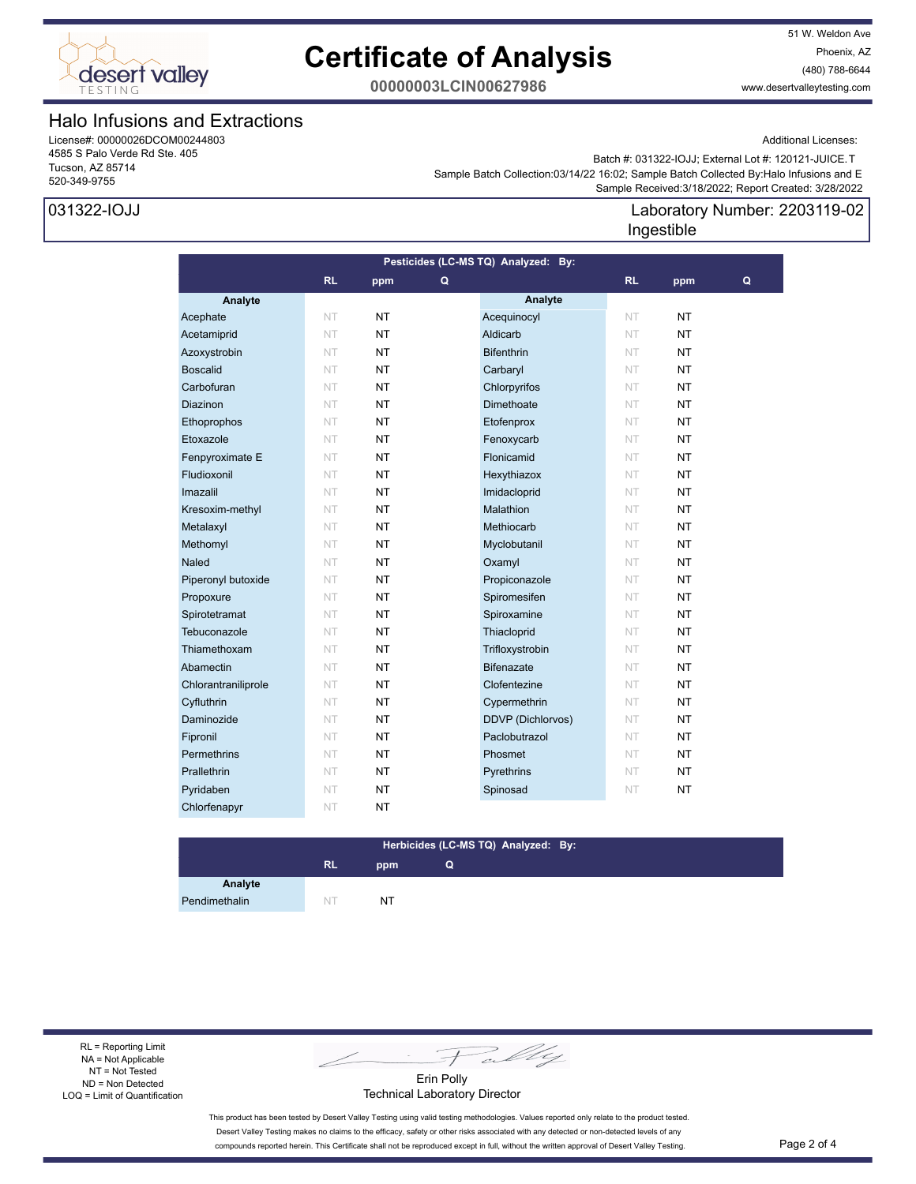

51 W. Weldon Ave Phoenix, AZ (480) 788-6644 www.desertvalleytesting.com

Additional Licenses:

**00000003LCIN00627986**

### Halo Infusions and Extractions

License#: 00000026DCOM00244803 4585 S Palo Verde Rd Ste. 405 Tucson, AZ 85714 520-349-9755

### 031322-IOJJ

Batch #: 031322-IOJJ; External Lot #: 120121-JUICE.T

 Sample Received:3/18/2022; Report Created: 3/28/2022 Sample Batch Collection:03/14/22 16:02; Sample Batch Collected By:Halo Infusions and E

### Laboratory Number: 2203119-02 Ingestible

| Pesticides (LC-MS TQ) Analyzed: By: |           |           |   |                   |           |           |   |
|-------------------------------------|-----------|-----------|---|-------------------|-----------|-----------|---|
|                                     | <b>RL</b> | ppm       | Q |                   | RL        | ppm       | Q |
| Analyte                             |           |           |   | Analyte           |           |           |   |
| Acephate                            | <b>NT</b> | NT        |   | Acequinocyl       | NT.       | NT        |   |
| Acetamiprid                         | NT        | <b>NT</b> |   | Aldicarb          | NT        | <b>NT</b> |   |
| Azoxystrobin                        | NT        | <b>NT</b> |   | <b>Bifenthrin</b> | NT.       | NT        |   |
| <b>Boscalid</b>                     | <b>NT</b> | NT        |   | Carbaryl          | NT.       | ΝT        |   |
| Carbofuran                          | NT        | <b>NT</b> |   | Chlorpyrifos      | NT        | <b>NT</b> |   |
| <b>Diazinon</b>                     | NT        | <b>NT</b> |   | Dimethoate        | NT        | NT        |   |
| Ethoprophos                         | NT        | <b>NT</b> |   | Etofenprox        | NT.       | NT        |   |
| Etoxazole                           | NT        | <b>NT</b> |   | Fenoxycarb        | NT        | <b>NT</b> |   |
| Fenpyroximate E                     | NT        | <b>NT</b> |   | Flonicamid        | NT.       | <b>NT</b> |   |
| Fludioxonil                         | NT        | <b>NT</b> |   | Hexythiazox       | NT.       | NT        |   |
| Imazalil                            | <b>NT</b> | NT.       |   | Imidacloprid      | NT.       | NT        |   |
| Kresoxim-methyl                     | NT        | <b>NT</b> |   | Malathion         | NT        | NT.       |   |
| Metalaxyl                           | <b>NT</b> | <b>NT</b> |   | Methiocarb        | NT        | <b>NT</b> |   |
| Methomyl                            | <b>NT</b> | NT.       |   | Myclobutanil      | <b>NT</b> | <b>NT</b> |   |
| <b>Naled</b>                        | <b>NT</b> | <b>NT</b> |   | Oxamyl            | NT        | NT        |   |
| Piperonyl butoxide                  | NT        | <b>NT</b> |   | Propiconazole     | NT.       | NT        |   |
| Propoxure                           | <b>NT</b> | <b>NT</b> |   | Spiromesifen      | NT.       | NT        |   |
| Spirotetramat                       | <b>NT</b> | NT        |   | Spiroxamine       | NT.       | NT        |   |
| Tebuconazole                        | NT        | NT.       |   | Thiacloprid       | <b>NT</b> | NT.       |   |
| Thiamethoxam                        | <b>NT</b> | <b>NT</b> |   | Trifloxystrobin   | NT        | <b>NT</b> |   |
| Abamectin                           | <b>NT</b> | <b>NT</b> |   | <b>Bifenazate</b> | NT.       | <b>NT</b> |   |
| Chlorantraniliprole                 | <b>NT</b> | <b>NT</b> |   | Clofentezine      | NT        | NT        |   |
| Cyfluthrin                          | <b>NT</b> | <b>NT</b> |   | Cypermethrin      | NT.       | NT        |   |
| Daminozide                          | <b>NT</b> | <b>NT</b> |   | DDVP (Dichlorvos) | <b>NT</b> | NΤ        |   |
| Fipronil                            | <b>NT</b> | <b>NT</b> |   | Paclobutrazol     | NT        | NT        |   |
| Permethrins                         | NT        | <b>NT</b> |   | Phosmet           | NT        | NT        |   |
| Prallethrin                         | <b>NT</b> | <b>NT</b> |   | Pyrethrins        | NT        | <b>NT</b> |   |
| Pyridaben                           | <b>NT</b> | <b>NT</b> |   | Spinosad          | NT        | <b>NT</b> |   |
| Chlorfenapyr                        | <b>NT</b> | <b>NT</b> |   |                   |           |           |   |

#### **RL ppm Herbicides (LC-MS TQ) Analyzed: By: Q**

**Analyte** Pendimethalin NT NT NT

RL = Reporting Limit NA = Not Applicable NT = Not Tested ND = Non Detected LOQ = Limit of Quantification

Fally

Erin Polly Technical Laboratory Director

This product has been tested by Desert Valley Testing using valid testing methodologies. Values reported only relate to the product tested. Desert Valley Testing makes no claims to the efficacy, safety or other risks associated with any detected or non-detected levels of any compounds reported herein. This Certificate shall not be reproduced except in full, without the written approval of Desert Valley Testing. Page 2 of 4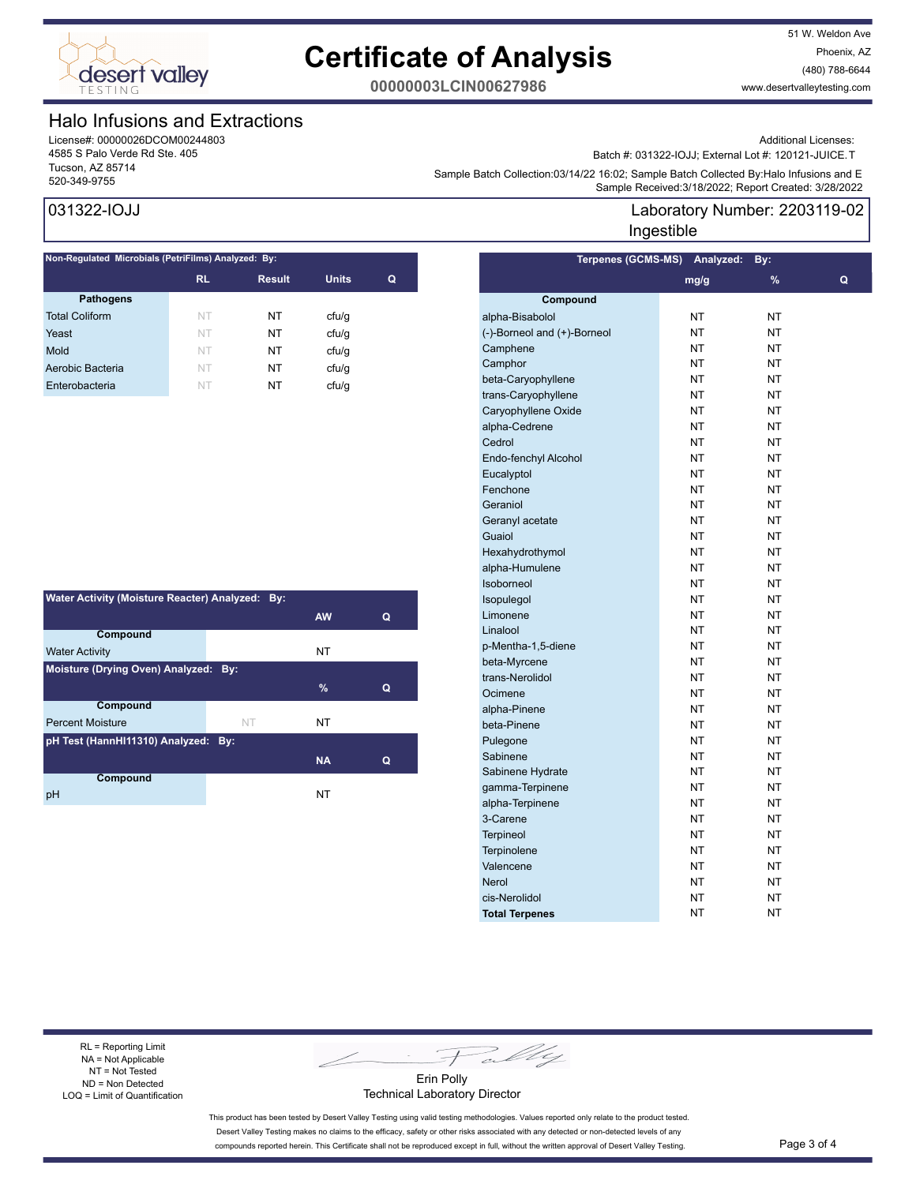

51 W. Weldon Ave Phoenix, AZ (480) 788-6644 www.desertvalleytesting.com

**00000003LCIN00627986**

### Halo Infusions and Extractions

License#: 00000026DCOM00244803 4585 S Palo Verde Rd Ste. 405 Tucson, AZ 85714

### 031322-IOJJ

| Non-Regulated Microbials (PetriFilms) Analyzed: By: |           |               |              |   |  |  |
|-----------------------------------------------------|-----------|---------------|--------------|---|--|--|
|                                                     | <b>RL</b> | <b>Result</b> | <b>Units</b> | Q |  |  |
| <b>Pathogens</b>                                    |           |               |              |   |  |  |
| <b>Total Coliform</b>                               | NT        | NT            | cfu/q        |   |  |  |
| Yeast                                               | NT        | NT            | cfu/q        |   |  |  |
| Mold                                                | NT        | NT            | ctu/g        |   |  |  |
| Aerobic Bacteria                                    | NT        | NT            | ctu/g        |   |  |  |
| Enterobacteria                                      | NT        | NT            | cfu/q        |   |  |  |
|                                                     |           |               |              |   |  |  |

| Water Activity (Moisture Reacter) Analyzed: By: |                                      |           |   |  |  |  |  |
|-------------------------------------------------|--------------------------------------|-----------|---|--|--|--|--|
|                                                 |                                      | <b>AW</b> | Q |  |  |  |  |
| Compound                                        |                                      |           |   |  |  |  |  |
| <b>Water Activity</b>                           |                                      | NT        |   |  |  |  |  |
|                                                 | Moisture (Drying Oven) Analyzed: By: |           |   |  |  |  |  |
|                                                 |                                      | %         | Q |  |  |  |  |
| <b>Compound</b>                                 |                                      |           |   |  |  |  |  |
| <b>Percent Moisture</b>                         | NT                                   | NT        |   |  |  |  |  |
| pH Test (HannHI11310) Analyzed: By:             |                                      |           |   |  |  |  |  |
|                                                 |                                      | <b>NA</b> | Q |  |  |  |  |
| Compound                                        |                                      |           |   |  |  |  |  |
| рH                                              |                                      | NT        |   |  |  |  |  |

Additional Licenses:

Batch #: 031322-IOJJ; External Lot #: 120121-JUICE.T

Sample Batch Collection.come.com/integrated: 276.02, Sample Batch Collection.com<br>Sample Received:3/18/2022; Report Created: 3/28/2022 Sample Batch Collection:03/14/22 16:02; Sample Batch Collected By:Halo Infusions and E

### Laboratory Number: 2203119-02 Ingestible

|                             | Terpenes (GCMS-MS) Analyzed: | By:       |   |
|-----------------------------|------------------------------|-----------|---|
|                             | mg/g                         | %         | Q |
| Compound                    |                              |           |   |
| alpha-Bisabolol             | NT                           | NΤ        |   |
| (-)-Borneol and (+)-Borneol | NT                           | NT        |   |
| Camphene                    | NT                           | NT        |   |
| Camphor                     | NT                           | NT        |   |
| beta-Caryophyllene          | NT                           | NT        |   |
| trans-Caryophyllene         | NT                           | NT        |   |
| Caryophyllene Oxide         | NT                           | NT        |   |
| alpha-Cedrene               | NT                           | NT        |   |
| Cedrol                      | NT                           | NT        |   |
| Endo-fenchyl Alcohol        | NT                           | NT        |   |
| Eucalyptol                  | NT                           | NT        |   |
| Fenchone                    | NT                           | NT        |   |
| Geraniol                    | NT                           | NT        |   |
| Geranyl acetate             | NT                           | NT        |   |
| Guaiol                      | NT                           | NT        |   |
| Hexahydrothymol             | NT                           | NT        |   |
| alpha-Humulene              | NT                           | NT        |   |
| Isoborneol                  | NT                           | NT        |   |
| Isopulegol                  | NT                           | NT        |   |
| Limonene                    | NT                           | NT        |   |
| Linalool                    | NT                           | NT        |   |
| p-Mentha-1,5-diene          | <b>NT</b>                    | NT        |   |
| beta-Myrcene                | NT                           | NT        |   |
| trans-Nerolidol             | NT                           | NT        |   |
| Ocimene                     | NT                           | NT        |   |
| alpha-Pinene                | <b>NT</b>                    | NT        |   |
| beta-Pinene                 | NT                           | NT        |   |
| Pulegone                    | NT                           | NT        |   |
| Sabinene                    | NT                           | NT        |   |
| Sabinene Hydrate            | <b>NT</b>                    | NT        |   |
| gamma-Terpinene             | NT                           | NT        |   |
| alpha-Terpinene             | NT                           | NT        |   |
| 3-Carene                    | NT                           | NT        |   |
| <b>Terpineol</b>            | <b>NT</b>                    | NT        |   |
| Terpinolene                 | NT                           | NT        |   |
| Valencene                   | NT                           | NT        |   |
| Nerol                       | NT                           | NT        |   |
| cis-Nerolidol               | <b>NT</b>                    | <b>NT</b> |   |
| <b>Total Terpenes</b>       | <b>NT</b>                    | <b>NT</b> |   |

RL = Reporting Limit NA = Not Applicable NT = Not Tested ND = Non Detected LOQ = Limit of Quantification

Fally

Erin Polly Technical Laboratory Director

This product has been tested by Desert Valley Testing using valid testing methodologies. Values reported only relate to the product tested. Desert Valley Testing makes no claims to the efficacy, safety or other risks associated with any detected or non-detected levels of any compounds reported herein. This Certificate shall not be reproduced except in full, without the written approval of Desert Valley Testing. Page 3 of 4